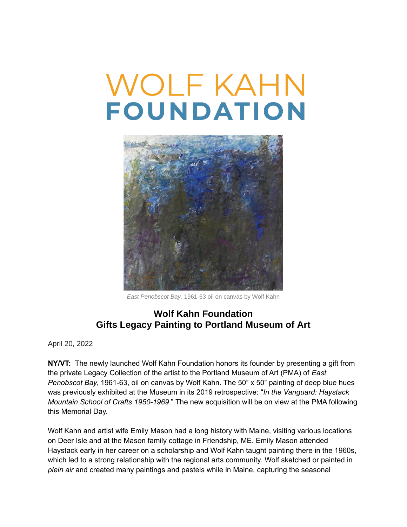# WOLF KAHN **FOUNDATION**



*East Penobscot Bay,* 1961-63 oil on canvas by Wolf Kahn

## **Wolf Kahn Foundation Gifts Legacy Painting to Portland Museum of Art**

April 20, 2022

**NY/VT:** The newly launched Wolf Kahn Foundation honors its founder by presenting a gift from the private Legacy Collection of the artist to the Portland Museum of Art (PMA) of *East Penobscot Bay,* 1961-63, oil on canvas by Wolf Kahn. The 50" x 50" painting of deep blue hues was previously exhibited at the Museum in its 2019 retrospective: "*In the Vanguard: Haystack Mountain School of Crafts 1950-1969*." The new acquisition will be on view at the PMA following this Memorial Day.

Wolf Kahn and artist wife Emily Mason had a long history with Maine, visiting various locations on Deer Isle and at the Mason family cottage in Friendship, ME. Emily Mason attended Haystack early in her career on a scholarship and Wolf Kahn taught painting there in the 1960s, which led to a strong relationship with the regional arts community. Wolf sketched or painted in *plein air* and created many paintings and pastels while in Maine, capturing the seasonal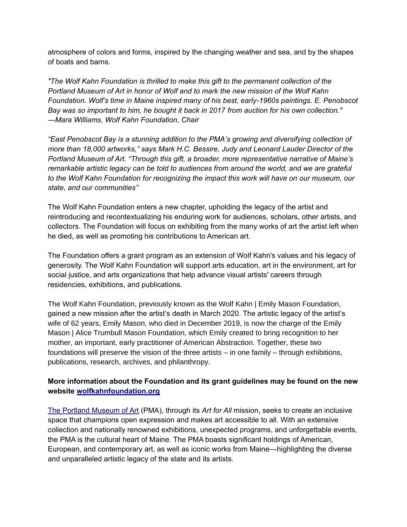atmosphere of colors and forms, inspired by the changing weather and sea, and by the shapes of boats and barns.

*"The Wolf Kahn Foundation is thrilled to make this gift to the permanent collection of the Portland Museum of Art in honor of Wolf and to mark the new mission of the Wolf Kahn Foundation. Wolf's time in Maine inspired many of his best, early-1960s paintings. E. Penobscot Bay was so important to him, he bought it back in 2017 from auction for his own collection."*  —*Mara Williams, Wolf Kahn Foundation, Chair*

*"East Penobscot Bay is a stunning addition to the PMA's growing and diversifying collection of more than 18,000 artworks," says Mark H.C. Bessire, Judy and Leonard Lauder Director of the Portland Museum of Art. "Through this gift, a broader, more representative narrative of Maine's remarkable artistic legacy can be told to audiences from around the world, and we are grateful to the Wolf Kahn Foundation for recognizing the impact this work will have on our museum, our state, and our communities"* 

The Wolf Kahn Foundation enters a new chapter, upholding the legacy of the artist and reintroducing and recontextualizing his enduring work for audiences, scholars, other artists, and collectors. The Foundation will focus on exhibiting from the many works of art the artist left when he died, as well as promoting his contributions to American art.

The Foundation offers a grant program as an extension of Wolf Kahn's values and his legacy of generosity. The Wolf Kahn Foundation will support arts education, art in the environment, art for social justice, and arts organizations that help advance visual artists' careers through residencies, exhibitions, and publications.

The Wolf Kahn Foundation, previously known as the Wolf Kahn | Emily Mason Foundation, gained a new mission after the artist's death in March 2020. The artistic legacy of the artist's wife of 62 years, Emily Mason, who died in December 2019, is now the charge of the Emily Mason | Alice Trumbull Mason Foundation, which Emily created to bring recognition to her mother, an important, early practitioner of American Abstraction. Together, these two foundations will preserve the vision of the three artists – in one family – through exhibitions, publications, research, archives, and philanthropy.

### **More information about the Foundation and its grant guidelines may be found on the new website [wolfkahnfoundation.org](http://www.wolfkahnfoundation.org/)**

[The Portland Museum of Art](https://www.portlandmuseum.org/) (PMA), through its *Art for All* mission, seeks to create an inclusive space that champions open expression and makes art accessible to all. With an extensive collection and nationally renowned exhibitions, unexpected programs, and unforgettable events, the PMA is the cultural heart of Maine. The PMA boasts significant holdings of American, European, and contemporary art, as well as iconic works from Maine—highlighting the diverse and unparalleled artistic legacy of the state and its artists.